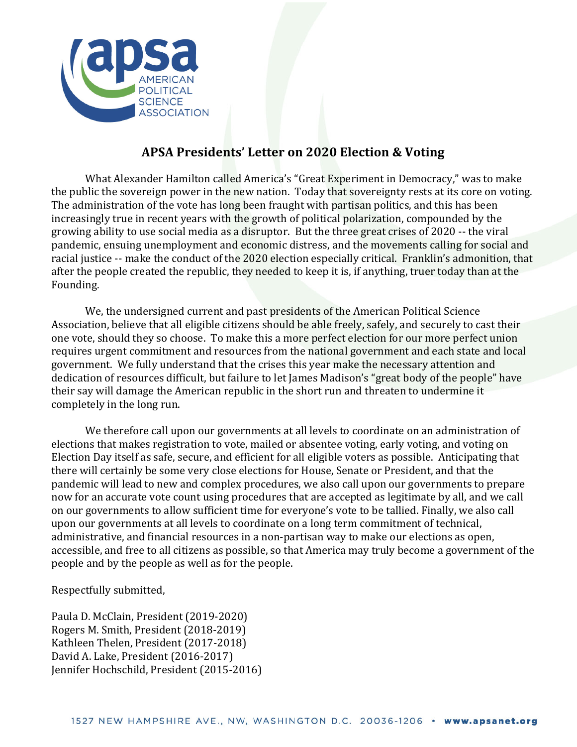

## **APSA Presidents' Letter on 2020 Election & Voting**

What Alexander Hamilton called America's "Great Experiment in Democracy," was to make the public the sovereign power in the new nation. Today that sovereignty rests at its core on voting. The administration of the vote has long been fraught with partisan politics, and this has been increasingly true in recent years with the growth of political polarization, compounded by the growing ability to use social media as a disruptor. But the three great crises of 2020 -- the viral pandemic, ensuing unemployment and economic distress, and the movements calling for social and racial justice -- make the conduct of the 2020 election especially critical. Franklin's admonition, that after the people created the republic, they needed to keep it is, if anything, truer today than at the Founding.

We, the undersigned current and past presidents of the American Political Science Association, believe that all eligible citizens should be able freely, safely, and securely to cast their one vote, should they so choose. To make this a more perfect election for our more perfect union requires urgent commitment and resources from the national government and each state and local government. We fully understand that the crises this year make the necessary attention and dedication of resources difficult, but failure to let James Madison's "great body of the people" have their say will damage the American republic in the short run and threaten to undermine it completely in the long run.

We therefore call upon our governments at all levels to coordinate on an administration of elections that makes registration to vote, mailed or absentee voting, early voting, and voting on Election Day itself as safe, secure, and efficient for all eligible voters as possible. Anticipating that there will certainly be some very close elections for House, Senate or President, and that the pandemic will lead to new and complex procedures, we also call upon our governments to prepare now for an accurate vote count using procedures that are accepted as legitimate by all, and we call on our governments to allow sufficient time for everyone's vote to be tallied. Finally, we also call upon our governments at all levels to coordinate on a long term commitment of technical, administrative, and financial resources in a non-partisan way to make our elections as open, accessible, and free to all citizens as possible, so that America may truly become a government of the people and by the people as well as for the people.

Respectfully submitted,

Paula D. McClain, President (2019-2020) Rogers M. Smith, President (2018-2019) Kathleen Thelen, President (2017-2018) David A. Lake, President (2016-2017) Jennifer Hochschild, President (2015-2016)